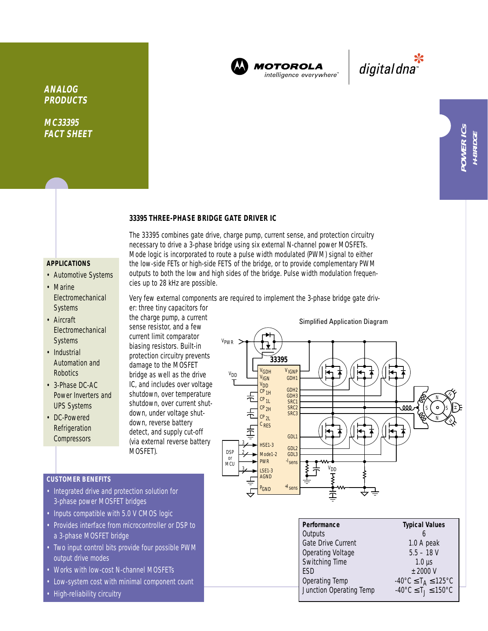

The 33395 combines gate drive, charge pump, current sense, and protection circuitry necessary to drive a 3-phase bridge using six external N-channel power MOSFETs. Mode logic is incorporated to route a pulse width modulated (PWM) signal to either the low-side FETs or high-side FETS of the bridge, or to provide complementary PWM outputs to both the low and high sides of the bridge. Pulse width modulation frequen-

Very few external components are required to implement the 3-phase bridge gate driv-

**MOTOROLA** intelligence everywhere

پ<br>digital dna

**MC33395 FACT SHEET**

## **33395 THREE-PHASE BRIDGE GATE DRIVER IC**

## **APPLICATIONS**

- Automotive Systems
- Marine Electromechanical Systems
- Aircraft **Electromechanical** Systems
- Industrial Automation and **Robotics**
- 3-Phase DC-AC Power Inverters and UPS Systems
- DC-Powered Refrigeration **Compressors**

the charge pump, a current sense resistor, and a few current limit comparator biasing resistors. Built-in protection circuitry prevents damage to the MOSFET bridge as well as the drive IC, and includes over voltage shutdown, over temperature shutdown, over current shutdown, under voltage shutdown, reverse battery detect, and supply cut-off (via external reverse battery MOSFET).

cies up to 28 kHz are possible.

er: three tiny capacitors for



- Integrated drive and protection solution for 3-phase power MOSFET bridges
- Inputs compatible with 5.0 V CMOS logic
- Provides interface from microcontroller or DSP to a 3-phase MOSFET bridge
- Two input control bits provide four possible PWM output drive modes
- Works with low-cost N-channel MOSFETs
- Low-system cost with minimal component count
- High-reliability circuitry



Junction Operating Temp

 $\pm 2000 \text{ V}$ 

Operating Temp  $-40^{\circ}$ C  $\leq$  T<sub>A</sub>  $\leq$  125°C<br>Junction Operating Temp  $-40^{\circ}$ C  $\leq$  T<sub>1</sub> $\leq$  150°C